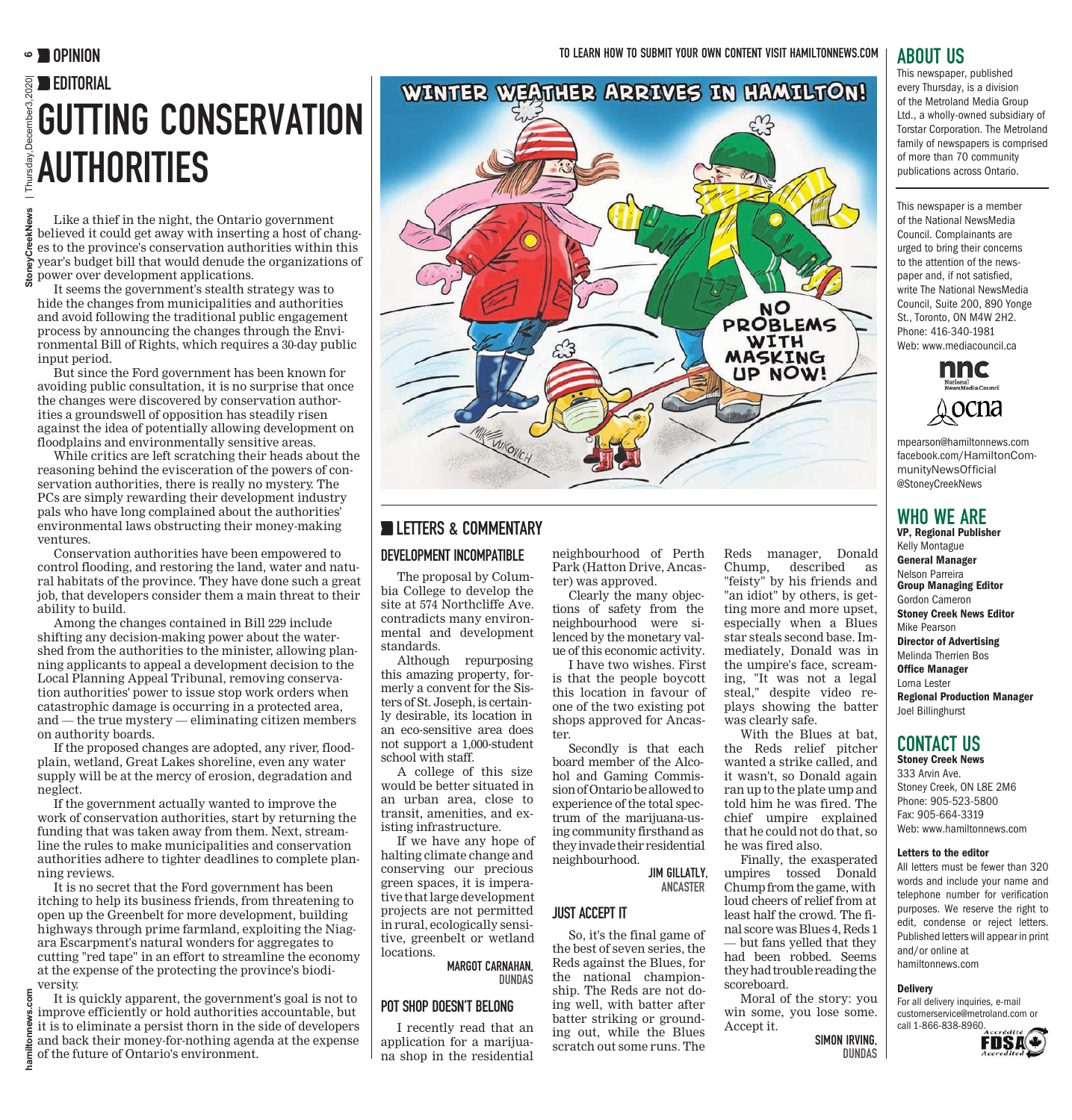# EDITORIAL GUTTING CONSERVATION **AUTHORITIES**

Like a thief in the night, the Ontario government believed it could get away with inserting a host of changes to the province's conservation authorities within this year's budget bill that would denude the organizations of power over development applications.

It seems the government's stealth strategy was to hide the changes from municipalities and authorities and avoid following the traditional public engagement process by announcing the changes through the Environmental Bill of Rights, which requires a 30-day public input period.

But since the Ford government has been known for avoiding public consultation, it is no surprise that once the changes were discovered by conservation authorities a groundswell of opposition has steadily risen against the idea of potentially allowing development on floodplains and environmentally sensitive areas.

While critics are left scratching their heads about the reasoning behind the evisceration of the powers of conservation authorities, there is really no mystery. The PCs are simply rewarding their development industry pals who have long complained about the authorities' environmental laws obstructing their money-making ventures.

Conservation authorities have been empowered to control flooding, and restoring the land, water and natural habitats of the province. They have done such a great job, that developers consider them a main threat to their ability to build.

**hamiltonnews.com StoneyCreekNews** | Thursday,December3,2020| **6**

hamiltor

Among the changes contained in Bill 229 include shifting any decision-making power about the watershed from the authorities to the minister, allowing planning applicants to appeal a development decision to the Local Planning Appeal Tribunal, removing conservation authorities' power to issue stop work orders when catastrophic damage is occurring in a protected area, and — the true mystery — eliminating citizen members on authority boards.

If the proposed changes are adopted, any river, floodplain, wetland, Great Lakes shoreline, even any water supply will be at the mercy of erosion, degradation and neglect.

If the government actually wanted to improve the work of conservation authorities, start by returning the funding that was taken away from them. Next, streamline the rules to make municipalities and conservation authorities adhere to tighter deadlines to complete planning reviews.

It is no secret that the Ford government has been itching to help its business friends, from threatening to open up the Greenbelt for more development, building highways through prime farmland, exploiting the Niagara Escarpment's natural wonders for aggregates to cutting "red tape" in an effort to streamline the economy at the expense of the protecting the province's biodiversity.

It is quickly apparent, the government's goal is not to improve efficiently or hold authorities accountable, but it is to eliminate a persist thorn in the side of developers and back their money-for-nothing agenda at the expense of the future of Ontario's environment.

# **WINTER WEATHER ARRIVES IN HAMILTON!**



#### **LETTERS & COMMENTARY**

#### DEVELOPMENT INCOMPATIBLE

The proposal by Columbia College to develop the site at 574 Northcliffe Ave. contradicts many environmental and development standards.

Although repurposing this amazing property, formerly a convent for the Sisters of St. Joseph, is certainly desirable, its location in an eco-sensitive area does not support a 1,000-student school with staff.

A college of this size would be better situated in an urban area, close to transit, amenities, and existing infrastructure.

If we have any hope of halting climate change and conserving our precious green spaces, it is imperative that large development projects are not permitted in rural, ecologically sensitive, greenbelt or wetland locations.

> MARGOT CARNAHAN, DUNDAS

#### POT SHOP DOESN'T BELONG

I recently read that an application for a marijuana shop in the residential neighbourhood of Perth Park (Hatton Drive, Ancaster) was approved.

Clearly the many objections of safety from the neighbourhood were silenced by the monetary value of this economic activity.

I have two wishes. First is that the people boycott this location in favour of one of the two existing pot shops approved for Ancaster.

Secondly is that each board member of the Alcohol and Gaming Commission of Ontario be allowed to experience of the total spectrum of the marijuana-using community firsthand as they invade their residential neighbourhood.

> JIM GILLATLY, ANCASTER

#### JUST ACCEPT IT

So, it's the final game of the best of seven series, the Reds against the Blues, for the national championship. The Reds are not doing well, with batter after batter striking or grounding out, while the Blues scratch out some runs. The Reds manager, Donald Chump, described as "feisty" by his friends and "an idiot" by others, is getting more and more upset, especially when a Blues star steals second base. Immediately, Donald was in the umpire's face, screaming, "It was not a legal steal," despite video replays showing the batter was clearly safe. With the Blues at bat,

the Reds relief pitcher wanted a strike called, and it wasn't, so Donald again ran up to the plate ump and told him he was fired. The chief umpire explained that he could not do that, so he was fired also.

Finally, the exasperated umpires tossed Donald Chump from the game, with loud cheers of relief from at least half the crowd. The final score was Blues 4, Reds 1 — but fans yelled that they had been robbed. Seems they had trouble reading the scoreboard.

Moral of the story: you win some, you lose some. Accept it.

> SIMON IRVING, DUNDAS

# ABOUT US

This newspaper, published every Thursday, is a division of the Metroland Media Group Ltd., a wholly-owned subsidiary of Torstar Corporation. The Metroland family of newspapers is comprised of more than 70 community publications across Ontario.

This newspaper is a member of the National NewsMedia Council. Complainants are urged to bring their concerns to the attention of the newspaper and, if not satisfied, write The National NewsMedia Council, Suite 200, 890 Yonge St., Toronto, ON M4W 2H2. Phone: 416-340-1981 Web: www.mediacouncil.ca



mpearson@hamiltonnews.com facebook.com/HamiltonCommunityNewsOfficial @StoneyCreekNews

# WHO WE ARE

VP, Regional Publisher Kelly Montague General Manager Nelson Parreira Group Managing Editor Gordon Cameron Stoney Creek News Editor Mike Pearson Director of Advertising Melinda Therrien Bos Office Manager Lorna Lester Regional Production Manager Joel Billinghurst

#### CONTACT US

Stoney Creek News 333 Arvin Ave. Stoney Creek, ON L8E 2M6 Phone: 905-523-5800 Fax: 905-664-3319 Web: www.hamiltonnews.com

#### Letters to the editor

All letters must be fewer than 320 words and include your name and telephone number for verification purposes. We reserve the right to edit, condense or reject letters. Published letters will appear in print and/or online at hamiltonnews.com

#### **Delivery**

For all delivery inquiries, e-mail customerservice@metroland.com or call 1-866-838-8960.

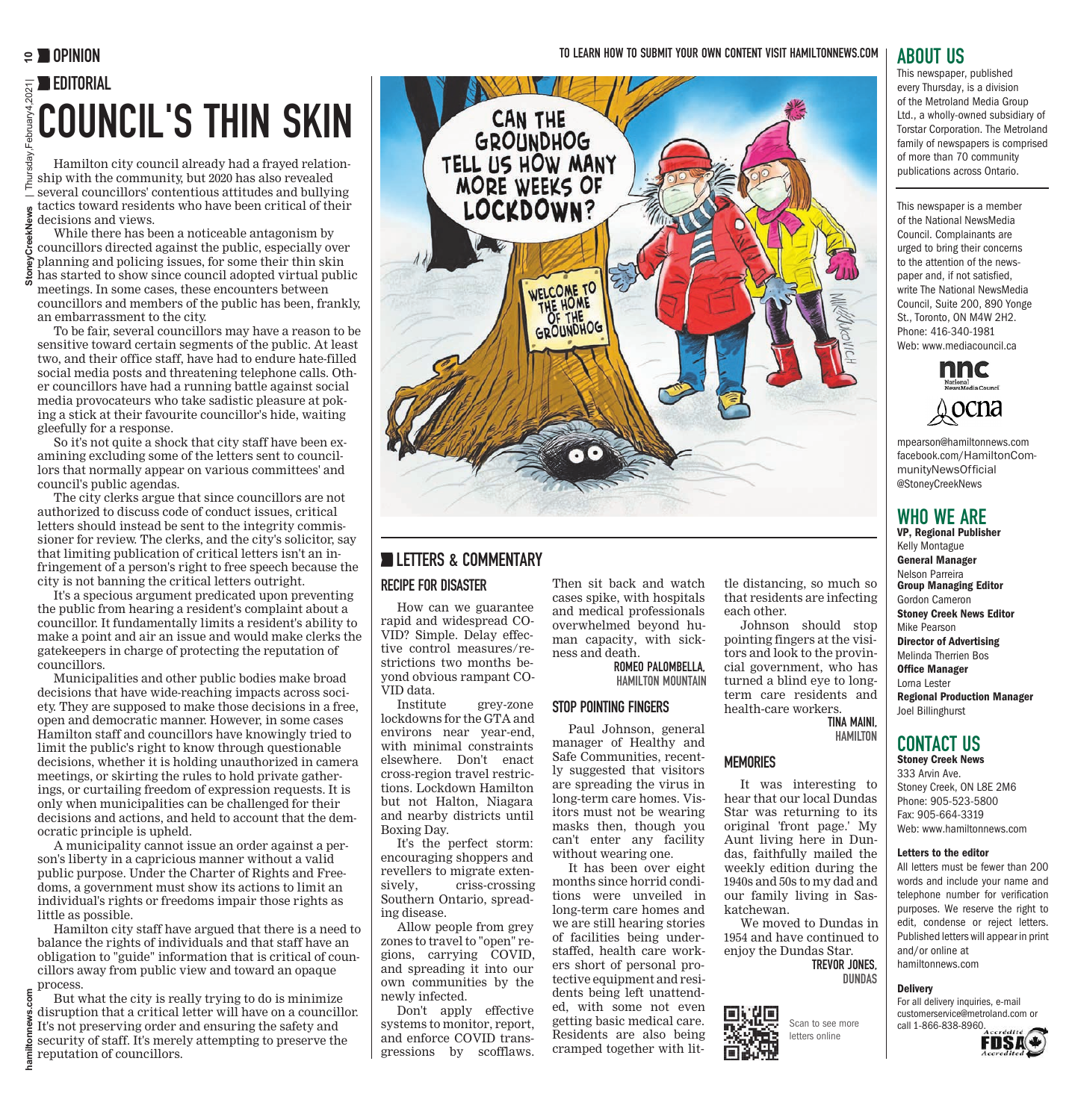# EDITORIAL COUNCIL'S THIN SKIN

Hamilton city council already had a frayed relationship with the community, but 2020 has also revealed several councillors' contentious attitudes and bullying tactics toward residents who have been critical of their decisions and views.

While there has been a noticeable antagonism by councillors directed against the public, especially over planning and policing issues, for some their thin skin has started to show since council adopted virtual public meetings. In some cases, these encounters between

councillors and members of the public has been, frankly, an embarrassment to the city.

To be fair, several councillors may have a reason to be sensitive toward certain segments of the public. At least two, and their office staff, have had to endure hate-filled social media posts and threatening telephone calls. Other councillors have had a running battle against social media provocateurs who take sadistic pleasure at poking a stick at their favourite councillor's hide, waiting gleefully for a response.

So it's not quite a shock that city staff have been examining excluding some of the letters sent to councillors that normally appear on various committees' and council's public agendas.

The city clerks argue that since councillors are not authorized to discuss code of conduct issues, critical letters should instead be sent to the integrity commissioner for review. The clerks, and the city's solicitor, say that limiting publication of critical letters isn't an infringement of a person's right to free speech because the city is not banning the critical letters outright.

**hamiltonnews.com StoneyCreekNews** | Thursday,February4,2021| **10**

Ě

It's a specious argument predicated upon preventing the public from hearing a resident's complaint about a councillor. It fundamentally limits a resident's ability to make a point and air an issue and would make clerks the gatekeepers in charge of protecting the reputation of councillors.

Municipalities and other public bodies make broad decisions that have wide-reaching impacts across society. They are supposed to make those decisions in a free, open and democratic manner. However, in some cases Hamilton staff and councillors have knowingly tried to limit the public's right to know through questionable decisions, whether it is holding unauthorized in camera meetings, or skirting the rules to hold private gatherings, or curtailing freedom of expression requests. It is only when municipalities can be challenged for their decisions and actions, and held to account that the democratic principle is upheld.

A municipality cannot issue an order against a person's liberty in a capricious manner without a valid public purpose. Under the Charter of Rights and Freedoms, a government must show its actions to limit an individual's rights or freedoms impair those rights as little as possible.

Hamilton city staff have argued that there is a need to balance the rights of individuals and that staff have an obligation to "guide" information that is critical of councillors away from public view and toward an opaque process.

But what the city is really trying to do is minimize<br>disruption that a critical letter will have on a councillor. disruption that a critical letter will have on a councillor. It's not preserving order and ensuring the safety and security of staff. It's merely attempting to preserve the reputation of councillors.



# **LETTERS & COMMENTARY**

#### RECIPE FOR DISASTER

How can we guarantee rapid and widespread CO-VID? Simple. Delay effective control measures/restrictions two months beyond obvious rampant CO-VID data.

Institute grey-zone lockdowns for the GTA and environs near year-end, with minimal constraints elsewhere. Don't enact cross-region travel restrictions. Lockdown Hamilton but not Halton, Niagara and nearby districts until Boxing Day.

It's the perfect storm: encouraging shoppers and revellers to migrate extensively, criss-crossing Southern Ontario, spreading disease.

Allow people from grey zones to travel to "open" regions, carrying COVID, and spreading it into our own communities by the newly infected.

Don't apply effective systems to monitor, report, and enforce COVID transgressions by scofflaws.

Then sit back and watch cases spike, with hospitals and medical professionals overwhelmed beyond human capacity, with sickness and death.

ROMEO PALOMBELLA, HAMILTON MOUNTAIN

#### STOP POINTING FINGERS

Paul Johnson, general manager of Healthy and Safe Communities, recently suggested that visitors are spreading the virus in long-term care homes. Visitors must not be wearing masks then, though you can't enter any facility without wearing one.

It has been over eight months since horrid conditions were unveiled in long-term care homes and we are still hearing stories of facilities being understaffed, health care workers short of personal protective equipment and residents being left unattended, with some not even getting basic medical care. Residents are also being cramped together with lit-

### ABOUT US

This newspaper, published every Thursday, is a division of the Metroland Media Group Ltd., a wholly-owned subsidiary of Torstar Corporation. The Metroland family of newspapers is comprised of more than 70 community publications across Ontario.

This newspaper is a member of the National NewsMedia Council. Complainants are urged to bring their concerns to the attention of the newspaper and, if not satisfied, write The National NewsMedia Council, Suite 200, 890 Yonge St., Toronto, ON M4W 2H2. Phone: 416-340-1981 Web: www.mediacouncil.ca



mpearson@hamiltonnews.com facebook.com/HamiltonCommunityNewsOfficial @StoneyCreekNews

## WHO WE ARE

tle distancing, so much so that residents are infecting

Johnson should stop pointing fingers at the visitors and look to the provincial government, who has turned a blind eye to longterm care residents and health-care workers.

It was interesting to hear that our local Dundas Star was returning to its original 'front page.' My Aunt living here in Dundas, faithfully mailed the weekly edition during the 1940s and 50s to my dad and our family living in Sas-

We moved to Dundas in 1954 and have continued to enjoy the Dundas Star.

> TREVOR JONES, DUNDAS

Scan to see more letters online

TINA MAINI, HAMILTON

each other.

**MEMORIES** 

katchewan.

VP, Regional Publisher Kelly Montague General Manager Nelson Parreira Group Managing Editor Gordon Cameron Stoney Creek News Editor Mike Pearson Director of Advertising Melinda Therrien Bos Office Manager Lorna Lester Regional Production Manager Joel Billinghurst

### CONTACT US

Stoney Creek News 333 Arvin Ave. Stoney Creek, ON L8E 2M6 Phone: 905-523-5800 Fax: 905-664-3319 Web: www.hamiltonnews.com

#### Letters to the editor

All letters must be fewer than 200 words and include your name and telephone number for verification purposes. We reserve the right to edit, condense or reject letters. Published letters will appear in print and/or online at hamiltonnews.com

**Delivery** 

For all delivery inquiries, e-mail customerservice@metroland.com or call 1-866-838-8960.